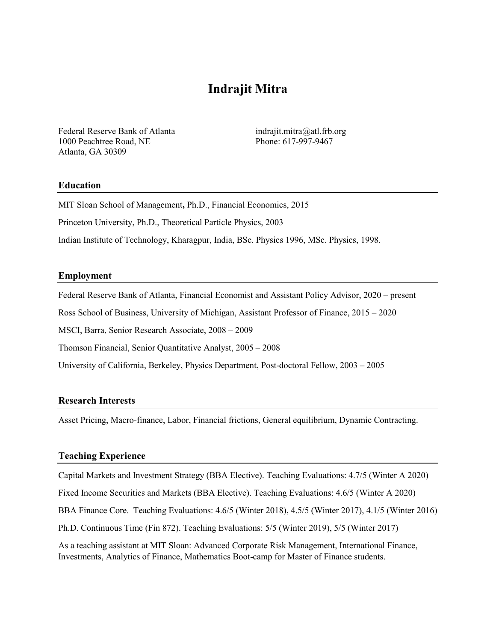# **Indrajit Mitra**

Federal Reserve Bank of Atlanta indrajit.mitra@atl.frb.org 1000 Peachtree Road, NE Phone: 617-997-9467 Atlanta, GA 30309

#### **Education**

MIT Sloan School of Management**,** Ph.D., Financial Economics, 2015

Princeton University, Ph.D., Theoretical Particle Physics, 2003

Indian Institute of Technology, Kharagpur, India, BSc. Physics 1996, MSc. Physics, 1998.

#### **Employment**

Federal Reserve Bank of Atlanta, Financial Economist and Assistant Policy Advisor, 2020 – present

Ross School of Business, University of Michigan, Assistant Professor of Finance, 2015 – 2020

MSCI, Barra, Senior Research Associate, 2008 – 2009

Thomson Financial, Senior Quantitative Analyst, 2005 – 2008

University of California, Berkeley, Physics Department, Post-doctoral Fellow, 2003 – 2005

#### **Research Interests**

Asset Pricing, Macro-finance, Labor, Financial frictions, General equilibrium, Dynamic Contracting.

#### **Teaching Experience**

Capital Markets and Investment Strategy (BBA Elective). Teaching Evaluations: 4.7/5 (Winter A 2020) Fixed Income Securities and Markets (BBA Elective). Teaching Evaluations: 4.6/5 (Winter A 2020) BBA Finance Core. Teaching Evaluations: 4.6/5 (Winter 2018), 4.5/5 (Winter 2017), 4.1/5 (Winter 2016) Ph.D. Continuous Time (Fin 872). Teaching Evaluations: 5/5 (Winter 2019), 5/5 (Winter 2017) As a teaching assistant at MIT Sloan: Advanced Corporate Risk Management, International Finance, Investments, Analytics of Finance, Mathematics Boot-camp for Master of Finance students.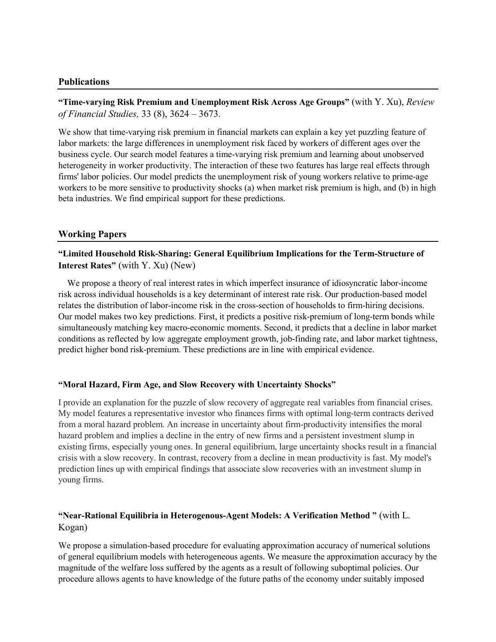### **Publications**

**"Time-varying Risk Premium and Unemployment Risk Across Age Groups"** (with Y. Xu), *Review of Financial Studies,* 33 (8), 3624 – 3673.

We show that time-varying risk premium in financial markets can explain a key yet puzzling feature of labor markets: the large differences in unemployment risk faced by workers of different ages over the business cycle. Our search model features a time-varying risk premium and learning about unobserved heterogeneity in worker productivity. The interaction of these two features has large real effects through firms' labor policies. Our model predicts the unemployment risk of young workers relative to prime-age workers to be more sensitive to productivity shocks (a) when market risk premium is high, and (b) in high beta industries. We find empirical support for these predictions.

### **Working Papers**

**"Limited Household Risk-Sharing: General Equilibrium Implications for the Term-Structure of Interest Rates"** (with Y. Xu) (New)

 We propose a theory of real interest rates in which imperfect insurance of idiosyncratic labor-income risk across individual households is a key determinant of interest rate risk. Our production-based model relates the distribution of labor-income risk in the cross-section of households to firm-hiring decisions. Our model makes two key predictions. First, it predicts a positive risk-premium of long-term bonds while simultaneously matching key macro-economic moments. Second, it predicts that a decline in labor market conditions as reflected by low aggregate employment growth, job-finding rate, and labor market tightness, predict higher bond risk-premium. These predictions are in line with empirical evidence.

### **"Moral Hazard, Firm Age, and Slow Recovery with Uncertainty Shocks"**

I provide an explanation for the puzzle of slow recovery of aggregate real variables from financial crises. My model features a representative investor who finances firms with optimal long-term contracts derived from a moral hazard problem. An increase in uncertainty about firm-productivity intensifies the moral hazard problem and implies a decline in the entry of new firms and a persistent investment slump in existing firms, especially young ones. In general equilibrium, large uncertainty shocks result in a financial crisis with a slow recovery. In contrast, recovery from a decline in mean productivity is fast. My model's prediction lines up with empirical findings that associate slow recoveries with an investment slump in young firms.

# **"Near-Rational Equilibria in Heterogenous-Agent Models: A Verification Method "** (with L. Kogan)

We propose a simulation-based procedure for evaluating approximation accuracy of numerical solutions of general equilibrium models with heterogeneous agents. We measure the approximation accuracy by the magnitude of the welfare loss suffered by the agents as a result of following suboptimal policies. Our procedure allows agents to have knowledge of the future paths of the economy under suitably imposed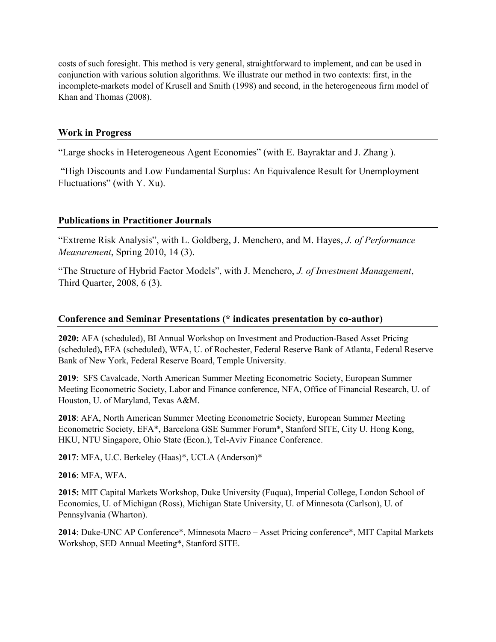costs of such foresight. This method is very general, straightforward to implement, and can be used in conjunction with various solution algorithms. We illustrate our method in two contexts: first, in the incomplete-markets model of Krusell and Smith (1998) and second, in the heterogeneous firm model of Khan and Thomas (2008).

### **Work in Progress**

"Large shocks in Heterogeneous Agent Economies" (with E. Bayraktar and J. Zhang ).

"High Discounts and Low Fundamental Surplus: An Equivalence Result for Unemployment Fluctuations" (with Y. Xu).

# **Publications in Practitioner Journals**

"Extreme Risk Analysis", with L. Goldberg, J. Menchero, and M. Hayes, *J. of Performance Measurement*, Spring 2010, 14 (3).

"The Structure of Hybrid Factor Models", with J. Menchero, *J. of Investment Management*, Third Quarter, 2008, 6 (3).

### **Conference and Seminar Presentations (\* indicates presentation by co-author)**

**2020:** AFA (scheduled), BI Annual Workshop on Investment and Production-Based Asset Pricing (scheduled)**,** EFA (scheduled), WFA, U. of Rochester, Federal Reserve Bank of Atlanta, Federal Reserve Bank of New York, Federal Reserve Board, Temple University.

**2019**: SFS Cavalcade, North American Summer Meeting Econometric Society, European Summer Meeting Econometric Society, Labor and Finance conference, NFA, Office of Financial Research, U. of Houston, U. of Maryland, Texas A&M.

**2018**: AFA, North American Summer Meeting Econometric Society, European Summer Meeting Econometric Society, EFA\*, Barcelona GSE Summer Forum\*, Stanford SITE, City U. Hong Kong, HKU, NTU Singapore, Ohio State (Econ.), Tel-Aviv Finance Conference.

**2017**: MFA, U.C. Berkeley (Haas)\*, UCLA (Anderson)\*

**2016**: MFA, WFA.

**2015:** MIT Capital Markets Workshop, Duke University (Fuqua), Imperial College, London School of Economics, U. of Michigan (Ross), Michigan State University, U. of Minnesota (Carlson), U. of Pennsylvania (Wharton).

**2014**: Duke-UNC AP Conference\*, Minnesota Macro – Asset Pricing conference\*, MIT Capital Markets Workshop, SED Annual Meeting\*, Stanford SITE.